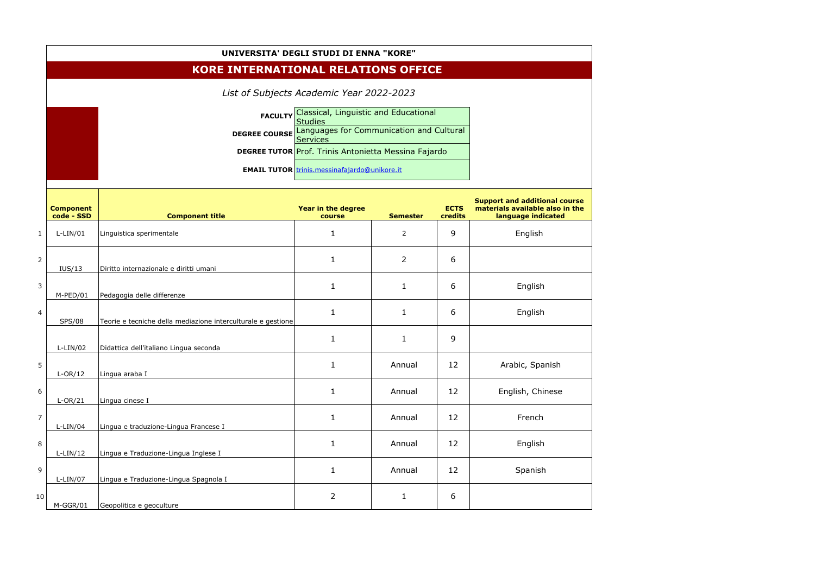|                | UNIVERSITA' DEGLI STUDI DI ENNA "KORE"     |                                                              |                                                                               |                 |                        |                                                                                               |  |  |  |  |
|----------------|--------------------------------------------|--------------------------------------------------------------|-------------------------------------------------------------------------------|-----------------|------------------------|-----------------------------------------------------------------------------------------------|--|--|--|--|
|                | <b>KORE INTERNATIONAL RELATIONS OFFICE</b> |                                                              |                                                                               |                 |                        |                                                                                               |  |  |  |  |
|                | List of Subjects Academic Year 2022-2023   |                                                              |                                                                               |                 |                        |                                                                                               |  |  |  |  |
|                |                                            | Classical, Linguistic and Educational<br><b>FACULTY</b>      |                                                                               |                 |                        |                                                                                               |  |  |  |  |
|                |                                            | <b>DEGREE COURSE</b>                                         | <b>Studies</b><br>Languages for Communication and Cultural<br><b>Services</b> |                 |                        |                                                                                               |  |  |  |  |
|                |                                            |                                                              | <b>DEGREE TUTOR Prof. Trinis Antonietta Messina Fajardo</b>                   |                 |                        |                                                                                               |  |  |  |  |
|                |                                            |                                                              | <b>EMAIL TUTOR</b> trinis.messinafajardo@unikore.it                           |                 |                        |                                                                                               |  |  |  |  |
|                | <b>Component</b><br>code - SSD             | <b>Component title</b>                                       | Year in the degree<br>course                                                  | <b>Semester</b> | <b>ECTS</b><br>credits | <b>Support and additional course</b><br>materials available also in the<br>language indicated |  |  |  |  |
| $\mathbf{1}$   | $L-LIN/01$                                 | Linguistica sperimentale                                     | $\mathbf 1$                                                                   | $\overline{2}$  | 9                      | English                                                                                       |  |  |  |  |
| $\overline{2}$ | IUS/13                                     | Diritto internazionale e diritti umani                       | 1                                                                             | $\overline{2}$  | 6                      |                                                                                               |  |  |  |  |
| 3              | M-PED/01                                   | Pedagogia delle differenze                                   | 1                                                                             | 1               | 6                      | English                                                                                       |  |  |  |  |
| 4              | <b>SPS/08</b>                              | Teorie e tecniche della mediazione interculturale e gestione | 1                                                                             | 1               | 6                      | English                                                                                       |  |  |  |  |
|                | $L-LIN/02$                                 | Didattica dell'italiano Lingua seconda                       | 1                                                                             | 1               | 9                      |                                                                                               |  |  |  |  |
| 5              | $L-OR/12$                                  | Lingua araba I                                               | $\mathbf{1}$                                                                  | Annual          | 12                     | Arabic, Spanish                                                                               |  |  |  |  |
| 6              | $L-OR/21$                                  | Lingua cinese I                                              | $\mathbf{1}$                                                                  | Annual          | 12                     | English, Chinese                                                                              |  |  |  |  |
| $\overline{7}$ | $L-LIN/04$                                 | Lingua e traduzione-Lingua Francese I                        | $\mathbf{1}$                                                                  | Annual          | 12                     | French                                                                                        |  |  |  |  |
| 8              | $L-LIN/12$                                 | Lingua e Traduzione-Lingua Inglese I                         | $\mathbf{1}$                                                                  | Annual          | 12                     | English                                                                                       |  |  |  |  |
| 9              | $L-LIN/07$                                 | Lingua e Traduzione-Lingua Spagnola I                        | $\mathbf{1}$                                                                  | Annual          | 12                     | Spanish                                                                                       |  |  |  |  |
| 10             | M-GGR/01                                   | Geopolitica e geoculture                                     | $\overline{2}$                                                                | $\mathbf{1}$    | 6                      |                                                                                               |  |  |  |  |